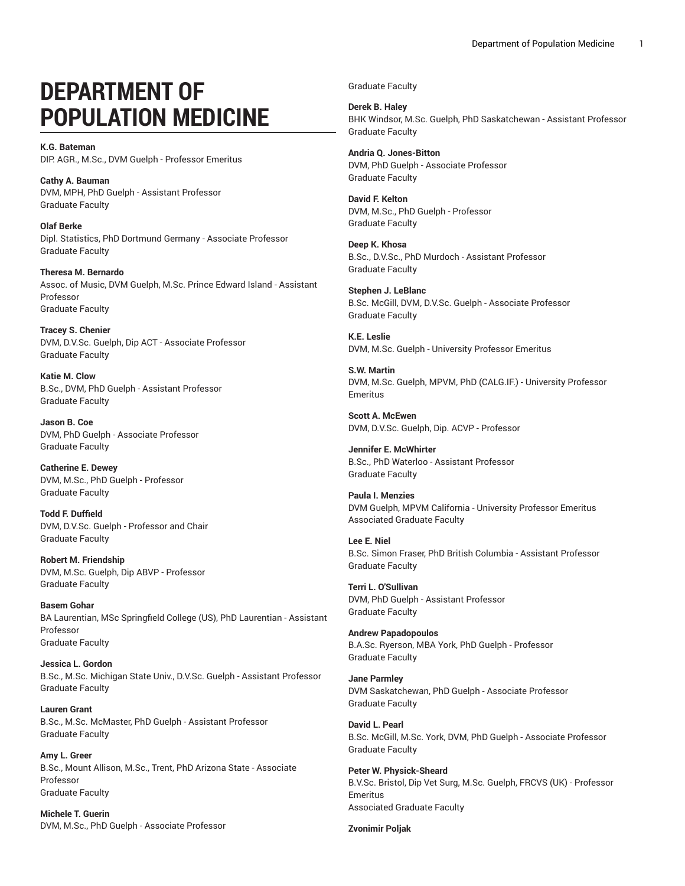# **DEPARTMENT OF POPULATION MEDICINE**

**K.G. Bateman** DIP. AGR., M.Sc., DVM Guelph - Professor Emeritus

**Cathy A. Bauman** DVM, MPH, PhD Guelph - Assistant Professor Graduate Faculty

**Olaf Berke** Dipl. Statistics, PhD Dortmund Germany - Associate Professor Graduate Faculty

**Theresa M. Bernardo** Assoc. of Music, DVM Guelph, M.Sc. Prince Edward Island - Assistant Professor Graduate Faculty

**Tracey S. Chenier** DVM, D.V.Sc. Guelph, Dip ACT - Associate Professor Graduate Faculty

**Katie M. Clow** B.Sc., DVM, PhD Guelph - Assistant Professor Graduate Faculty

**Jason B. Coe** DVM, PhD Guelph - Associate Professor Graduate Faculty

**Catherine E. Dewey** DVM, M.Sc., PhD Guelph - Professor Graduate Faculty

**Todd F. Duffield** DVM, D.V.Sc. Guelph - Professor and Chair Graduate Faculty

**Robert M. Friendship** DVM, M.Sc. Guelph, Dip ABVP - Professor Graduate Faculty

**Basem Gohar** BA Laurentian, MSc Springfield College (US), PhD Laurentian - Assistant Professor Graduate Faculty

**Jessica L. Gordon** B.Sc., M.Sc. Michigan State Univ., D.V.Sc. Guelph - Assistant Professor Graduate Faculty

**Lauren Grant** B.Sc., M.Sc. McMaster, PhD Guelph - Assistant Professor Graduate Faculty

**Amy L. Greer** B.Sc., Mount Allison, M.Sc., Trent, PhD Arizona State - Associate Professor Graduate Faculty

**Michele T. Guerin** DVM, M.Sc., PhD Guelph - Associate Professor Graduate Faculty

**Derek B. Haley** BHK Windsor, M.Sc. Guelph, PhD Saskatchewan - Assistant Professor Graduate Faculty

**Andria Q. Jones-Bitton** DVM, PhD Guelph - Associate Professor Graduate Faculty

**David F. Kelton** DVM, M.Sc., PhD Guelph - Professor Graduate Faculty

**Deep K. Khosa** B.Sc., D.V.Sc., PhD Murdoch - Assistant Professor Graduate Faculty

**Stephen J. LeBlanc** B.Sc. McGill, DVM, D.V.Sc. Guelph - Associate Professor Graduate Faculty

**K.E. Leslie** DVM, M.Sc. Guelph - University Professor Emeritus

**S.W. Martin** DVM, M.Sc. Guelph, MPVM, PhD (CALG.IF.) - University Professor Emeritus

**Scott A. McEwen** DVM, D.V.Sc. Guelph, Dip. ACVP - Professor

**Jennifer E. McWhirter** B.Sc., PhD Waterloo - Assistant Professor Graduate Faculty

**Paula I. Menzies** DVM Guelph, MPVM California - University Professor Emeritus Associated Graduate Faculty

**Lee E. Niel** B.Sc. Simon Fraser, PhD British Columbia - Assistant Professor Graduate Faculty

**Terri L. O'Sullivan** DVM, PhD Guelph - Assistant Professor Graduate Faculty

**Andrew Papadopoulos** B.A.Sc. Ryerson, MBA York, PhD Guelph - Professor Graduate Faculty

**Jane Parmley** DVM Saskatchewan, PhD Guelph - Associate Professor Graduate Faculty

**David L. Pearl** B.Sc. McGill, M.Sc. York, DVM, PhD Guelph - Associate Professor Graduate Faculty

**Peter W. Physick-Sheard** B.V.Sc. Bristol, Dip Vet Surg, M.Sc. Guelph, FRCVS (UK) - Professor Emeritus Associated Graduate Faculty

**Zvonimir Poljak**